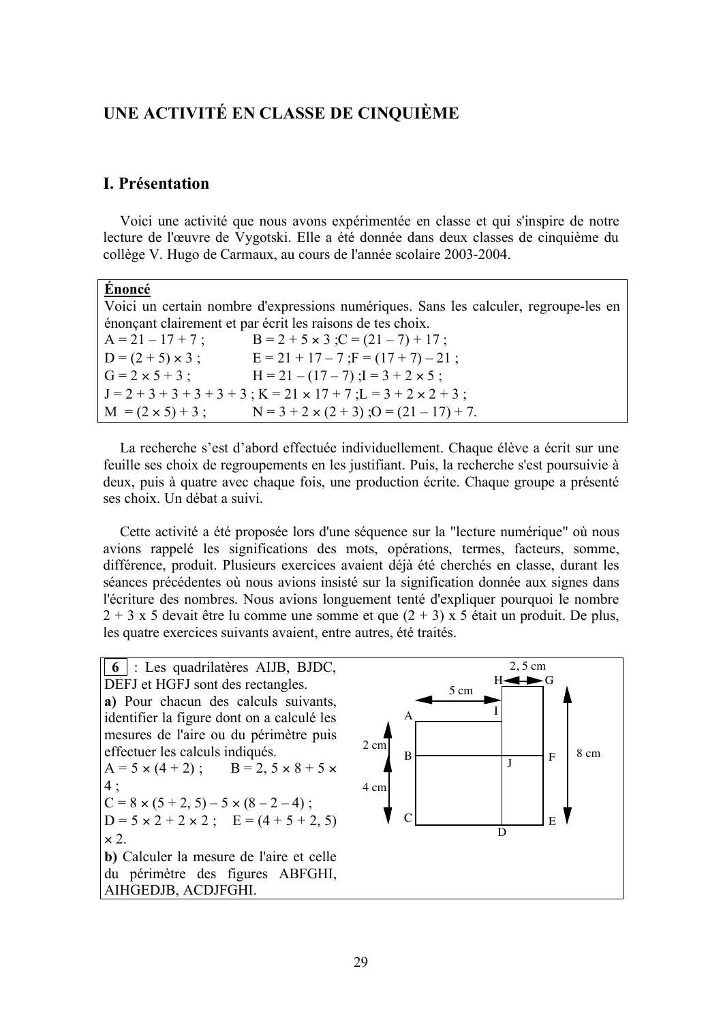# UNE ACTIVITÉ EN CLASSE DE CINQUIÈME

## **I.** Présentation

Voici une activité que nous avons expérimentée en classe et qui s'inspire de notre lecture de l'œuvre de Vygotski. Elle a été donnée dans deux classes de cinquième du collège V. Hugo de Carmaux, au cours de l'année scolaire 2003-2004.

| non |  |
|-----|--|
|     |  |

Voici un certain nombre d'expressions numériques. Sans les calculer, regroupe-les en énonçant clairement et par écrit les raisons de tes choix.

| $A = 21 - 17 + 7$ ;      | $B = 2 + 5 \times 3$ ; $C = (21 - 7) + 17$ ;                |
|--------------------------|-------------------------------------------------------------|
| $D = (2 + 5) \times 3$ ; | $E = 21 + 17 - 7$ ; $F = (17 + 7) - 21$ ;                   |
| $G = 2 \times 5 + 3$ ;   | $H = 21 - (17 - 7)$ ; $I = 3 + 2 \times 5$ ;                |
|                          | $J=2+3+3+3+3+3$ ; $K=21 \times 17+7$ ; $L=3+2 \times 2+3$ ; |
| $M = (2 \times 5) + 3$ ; | $N = 3 + 2 \times (2 + 3)$ ; $O = (21 - 17) + 7$ .          |

La recherche s'est d'abord effectuée individuellement. Chaque élève a écrit sur une feuille ses choix de regroupements en les justifiant. Puis, la recherche s'est poursuivie à deux, puis à quatre avec chaque fois, une production écrite. Chaque groupe a présenté ses choix. Un débat a suivi.

Cette activité a été proposée lors d'une séquence sur la "lecture numérique" où nous avions rappelé les significations des mots, opérations, termes, facteurs, somme, différence, produit. Plusieurs exercices avaient déjà été cherchés en classe, durant les séances précédentes où nous avions insisté sur la signification donnée aux signes dans l'écriture des nombres. Nous avions longuement tenté d'expliquer pourquoi le nombre  $2 + 3x5$  devait être lu comme une somme et que  $(2 + 3)$  x 5 était un produit. De plus, les quatre exercices suivants avaient, entre autres, été traités.

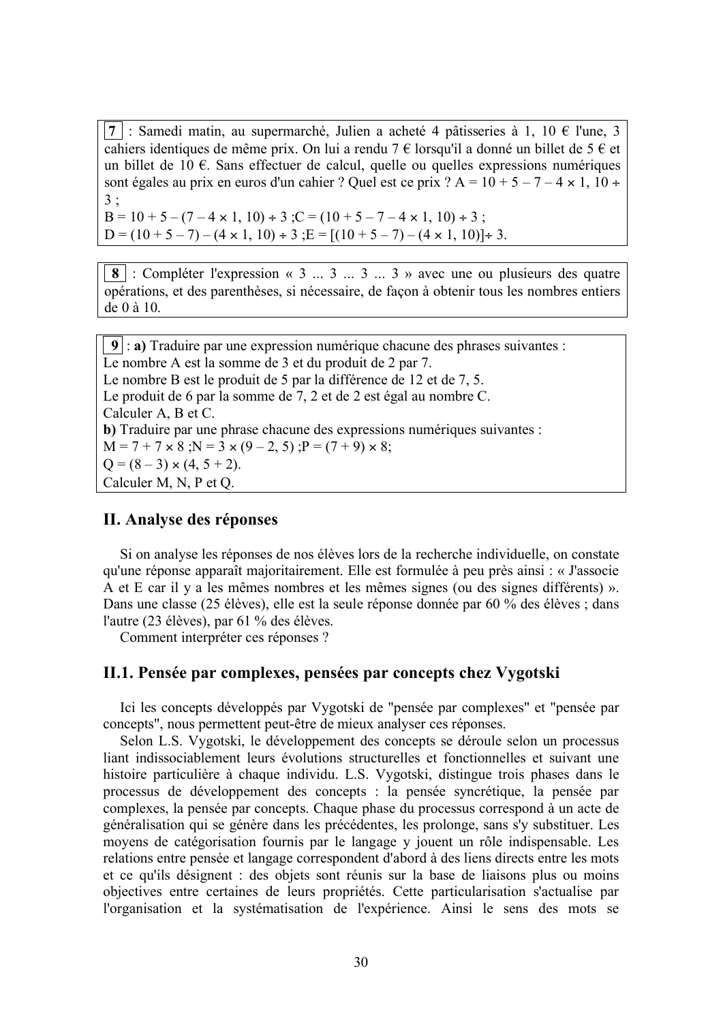7 : Samedi matin, au supermarché, Julien a acheté 4 pâtisseries à 1, 10 € l'une, 3 cahiers identiques de même prix. On lui a rendu 7  $\epsilon$  lorsqu'il a donné un billet de 5  $\epsilon$  et un billet de 10  $\epsilon$ . Sans effectuer de calcul, quelle ou quelles expressions numériques sont égales au prix en euros d'un cahier ? Quel est ce prix ? A =  $10 + 5 - 7 - 4 \times 1$ ,  $10 \div$  $3:$ 

 $B = 10 + 5 - (7 - 4 \times 1, 10) \div 3$ ;  $C = (10 + 5 - 7 - 4 \times 1, 10) \div 3$ ;  $D = (10 + 5 - 7) - (4 \times 1, 10) \div 3$ ;  $E = [(10 + 5 - 7) - (4 \times 1, 10)] \div 3$ .

**8** : Compléter l'expression « 3 ... 3 ... 3 » avec une ou plusieurs des quatre opérations, et des parenthèses, si nécessaire, de façon à obtenir tous les nombres entiers de  $0$  à  $10$ .

 $9$ : a) Traduire par une expression numérique chacune des phrases suivantes : Le nombre A est la somme de 3 et du produit de 2 par 7. Le nombre B est le produit de 5 par la différence de 12 et de 7, 5. Le produit de 6 par la somme de 7, 2 et de 2 est égal au nombre C. Calculer A, B et C. b) Traduire par une phrase chacune des expressions numériques suivantes :  $M = 7 + 7 \times 8$ ;  $N = 3 \times (9 - 2, 5)$ ;  $P = (7 + 9) \times 8$ ;  $Q = (8-3) \times (4, 5 + 2)$ . Calculer M, N, P et Q.

#### II. Analyse des réponses

Si on analyse les réponses de nos élèves lors de la recherche individuelle, on constate qu'une réponse apparaît majoritairement. Elle est formulée à peu près ainsi : « J'associe A et E car il y a les mêmes nombres et les mêmes signes (ou des signes différents) ». Dans une classe (25 élèves), elle est la seule réponse donnée par 60 % des élèves ; dans l'autre (23 élèves), par 61 % des élèves.

Comment interpréter ces réponses ?

### II.1. Pensée par complexes, pensées par concepts chez Vygotski

Ici les concepts développés par Vygotski de "pensée par complexes" et "pensée par concepts", nous permettent peut-être de mieux analyser ces réponses.

Selon L.S. Vygotski, le développement des concepts se déroule selon un processus liant indissociablement leurs évolutions structurelles et fonctionnelles et suivant une histoire particulière à chaque individu. L.S. Vygotski, distingue trois phases dans le processus de développement des concepts : la pensée syncrétique, la pensée par complexes, la pensée par concepts. Chaque phase du processus correspond à un acte de généralisation qui se génère dans les précédentes, les prolonge, sans s'y substituer. Les moyens de catégorisation fournis par le langage y jouent un rôle indispensable. Les relations entre pensée et langage correspondent d'abord à des liens directs entre les mots et ce qu'ils désignent : des objets sont réunis sur la base de liaisons plus ou moins objectives entre certaines de leurs propriétés. Cette particularisation s'actualise par l'organisation et la systématisation de l'expérience. Ainsi le sens des mots se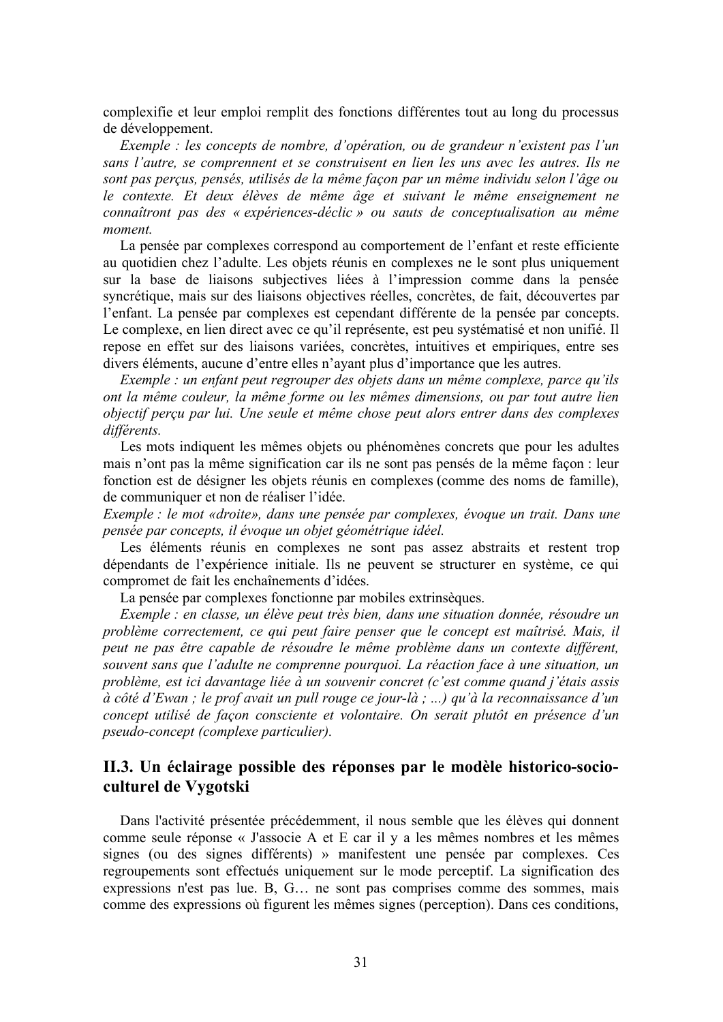complexifie et leur emploi remplit des fonctions différentes tout au long du processus de développement.

Exemple : les concepts de nombre, d'opération, ou de grandeur n'existent pas l'un sans l'autre, se comprennent et se construisent en lien les uns avec les autres. Ils ne sont pas perçus, pensés, utilisés de la même façon par un même individu selon l'âge ou le contexte. Et deux élèves de même âge et suivant le même enseignement ne connaîtront pas des « expériences-déclic » ou sauts de conceptualisation au même moment

La pensée par complexes correspond au comportement de l'enfant et reste efficiente au quotidien chez l'adulte. Les objets réunis en complexes ne le sont plus uniquement sur la base de liaisons subjectives liées à l'impression comme dans la pensée syncrétique, mais sur des liaisons objectives réelles, concrètes, de fait, découvertes par l'enfant. La pensée par complexes est cependant différente de la pensée par concepts. Le complexe, en lien direct avec ce qu'il représente, est peu systématisé et non unifié. Il repose en effet sur des liaisons variées, concrètes, intuitives et empiriques, entre ses divers éléments, aucune d'entre elles n'ayant plus d'importance que les autres.

Exemple : un enfant peut regrouper des objets dans un même complexe, parce qu'ils ont la même couleur, la même forme ou les mêmes dimensions, ou par tout autre lien objectif perçu par lui. Une seule et même chose peut alors entrer dans des complexes différents.

Les mots indiquent les mêmes objets ou phénomènes concrets que pour les adultes mais n'ont pas la même signification car ils ne sont pas pensés de la même facon : leur fonction est de désigner les objets réunis en complexes (comme des noms de famille), de communiquer et non de réaliser l'idée.

Exemple : le mot «droite», dans une pensée par complexes, évoque un trait. Dans une pensée par concepts, il évoque un objet géométrique idéel.

Les éléments réunis en complexes ne sont pas assez abstraits et restent trop dépendants de l'expérience initiale. Ils ne peuvent se structurer en système, ce qui compromet de fait les enchaînements d'idées.

La pensée par complexes fonctionne par mobiles extrinsèques.

Exemple : en classe, un élève peut très bien, dans une situation donnée, résoudre un problème correctement, ce qui peut faire penser que le concept est maîtrisé. Mais, il peut ne pas être capable de résoudre le même problème dans un contexte différent, souvent sans que l'adulte ne comprenne pourquoi. La réaction face à une situation, un problème, est ici davantage liée à un souvenir concret (c'est comme quand j'étais assis à côté d'Ewan : le prof avait un pull rouge ce jour-là : ...) qu'à la reconnaissance d'un concept utilisé de façon consciente et volontaire. On serait plutôt en présence d'un pseudo-concept (complexe particulier).

## II.3. Un éclairage possible des réponses par le modèle historico-socioculturel de Vygotski

Dans l'activité présentée précédemment, il nous semble que les élèves qui donnent comme seule réponse « J'associe A et E car il y a les mêmes nombres et les mêmes signes (ou des signes différents) » manifestent une pensée par complexes. Ces regroupements sont effectués uniquement sur le mode perceptif. La signification des expressions n'est pas lue. B, G... ne sont pas comprises comme des sommes, mais comme des expressions où figurent les mêmes signes (perception). Dans ces conditions,